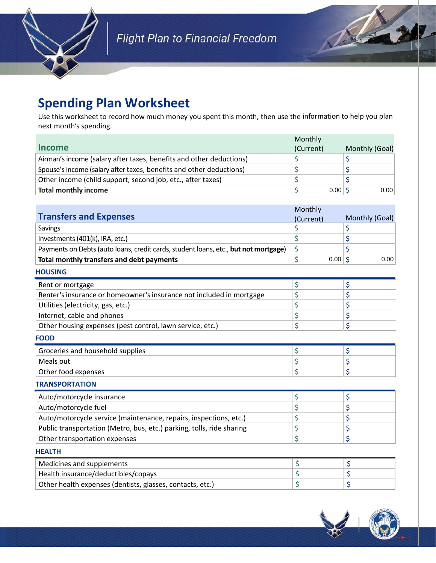

## **Spending Plan Worksheet**

Use this worksheet to record how much money you spent this month, then use the information to help you plan next month's spending.

|                                                                     | Monthly   |          |                |
|---------------------------------------------------------------------|-----------|----------|----------------|
| <b>Income</b>                                                       | (Current) |          | Monthly (Goal) |
| Airman's income (salary after taxes, benefits and other deductions) |           |          |                |
| Spouse's income (salary after taxes, benefits and other deductions) |           |          |                |
| Other income (child support, second job, etc., after taxes)         |           |          |                |
| <b>Total monthly income</b>                                         |           | $0.00$ S | 0.00           |

|                                                                                     | Monthly    |                |
|-------------------------------------------------------------------------------------|------------|----------------|
| <b>Transfers and Expenses</b>                                                       | (Current)  | Monthly (Goal) |
| Savings                                                                             | \$         | \$             |
| Investments (401(k), IRA, etc.)                                                     | \$         | \$             |
| Payments on Debts (auto loans, credit cards, student loans, etc., but not mortgage) | \$         | \$             |
| Total monthly transfers and debt payments                                           | \$<br>0.00 | Ś.<br>0.00     |
| <b>HOUSING</b>                                                                      |            |                |
| Rent or mortgage                                                                    | \$         | \$             |
| Renter's insurance or homeowner's insurance not included in mortgage                | \$         | \$             |
| Utilities (electricity, gas, etc.)                                                  | \$         | \$             |
| Internet, cable and phones                                                          | \$         | \$             |
| Other housing expenses (pest control, lawn service, etc.)                           | \$         | \$             |
| <b>FOOD</b>                                                                         |            |                |
| Groceries and household supplies                                                    | \$         | \$             |
| Meals out                                                                           | \$         | \$             |
| Other food expenses                                                                 | \$         | \$             |
| <b>TRANSPORTATION</b>                                                               |            |                |
| Auto/motorcycle insurance                                                           | \$         | \$             |
| Auto/motorcycle fuel                                                                | \$         | \$             |
| Auto/motorcycle service (maintenance, repairs, inspections, etc.)                   | \$         | \$             |
| Public transportation (Metro, bus, etc.) parking, tolls, ride sharing               | \$         | \$             |
| Other transportation expenses                                                       | \$         | \$             |
| <b>HEALTH</b>                                                                       |            |                |
| Medicines and supplements                                                           | \$         | \$             |
| Health insurance/deductibles/copays                                                 | \$         | \$             |
| Other health expenses (dentists, glasses, contacts, etc.)                           | \$         | \$             |